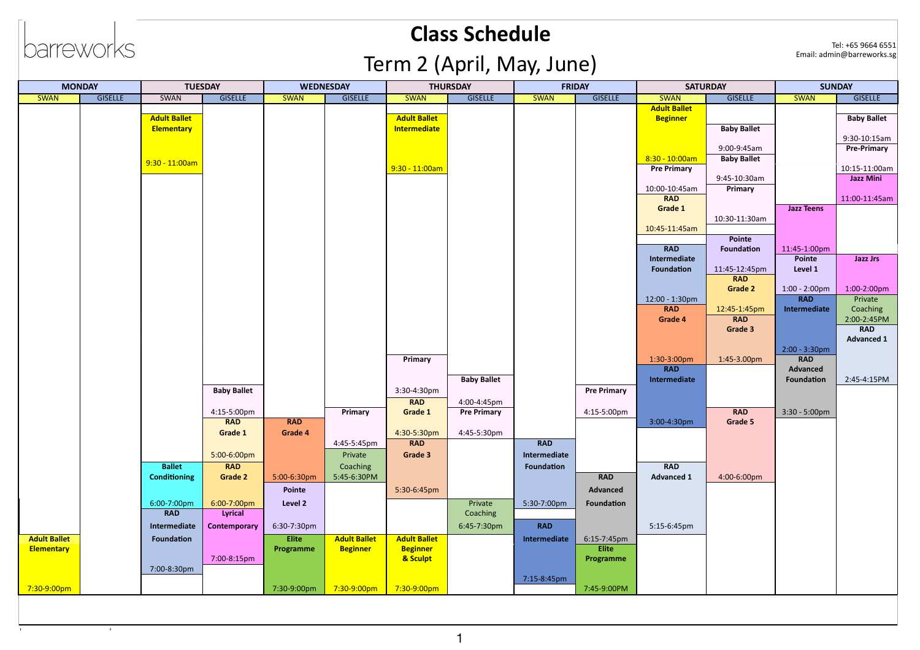### **Class Schedule** Term 2 (April, May, June)

# barreworks

 $\blacksquare$ 

| <b>GISELLE</b><br><b>GISELLE</b><br><b>GISELLE</b><br><b>GISELLE</b><br><b>GISELLE</b><br><b>GISELLE</b><br><b>GISELLE</b><br><b>SWAN</b><br><b>SWAN</b><br><b>SWAN</b><br><b>SWAN</b><br><b>SWAN</b><br>SWAN<br><b>SWAN</b><br><b>Adult Ballet</b><br><b>Baby Ballet</b><br><b>Adult Ballet</b><br><b>Adult Ballet</b><br><b>Beginner</b><br><b>Baby Ballet</b><br><b>Intermediate</b><br><b>Elementary</b><br>9:30-10:15am<br><b>Pre-Primary</b><br>9:00-9:45am<br>$8:30 - 10:00am$<br><b>Baby Ballet</b><br>$9:30 - 11:00$ am<br>10:15-11:00am<br>$9:30 - 11:00$ am<br><b>Pre Primary</b><br><b>Jazz Mini</b><br>9:45-10:30am<br>10:00-10:45am<br><b>Primary</b><br><b>RAD</b><br><b>Jazz Teens</b><br>Grade 1<br>10:30-11:30am<br>10:45-11:45am<br>Pointe<br><b>RAD</b><br>11:45-1:00pm<br>Foundation<br>Intermediate<br>Pointe<br><b>Jazz Jrs</b><br>11:45-12:45pm<br>Foundation<br>Level 1<br><b>RAD</b><br>1:00-2:00pm<br>$1:00 - 2:00 \text{pm}$<br><b>Grade 2</b><br><b>RAD</b><br>Private<br>$12:00 - 1:30$ pm<br>Coaching<br><b>RAD</b><br>Intermediate<br>12:45-1:45pm<br><b>Grade 4</b><br><b>RAD</b><br><b>RAD</b><br>Grade 3<br>$2:00 - 3:30$ pm<br>Primary<br><b>RAD</b><br>1:30-3:00pm<br>1:45-3.00pm<br><b>RAD</b><br><b>Advanced</b><br><b>Baby Ballet</b><br>Intermediate<br>2:45-4:15PM<br>Foundation<br><b>Baby Ballet</b><br>$3:30-4:30$ pm<br><b>Pre Primary</b><br><b>RAD</b><br>4:00-4:45pm<br><b>Primary</b><br><b>RAD</b><br>$3:30 - 5:00$ pm<br>4:15-5:00pm<br><b>Grade 1</b><br><b>Pre Primary</b><br>4:15-5:00pm<br><b>RAD</b><br><b>RAD</b><br>3:00-4:30pm<br>Grade 5<br>4:30-5:30pm<br>4:45-5:30pm<br>Grade 1<br>Grade 4<br>4:45-5:45pm<br><b>RAD</b><br><b>RAD</b><br>5:00-6:00pm<br><b>Grade 3</b><br>Intermediate<br>Private<br><b>RAD</b><br><b>Ballet</b><br><b>RAD</b><br>Coaching<br>Foundation<br><b>RAD</b><br><b>Grade 2</b><br>5:00-6:30pm<br><b>Advanced 1</b><br>4:00-6:00pm<br><b>Conditioning</b><br>5:45-6:30PM<br>5:30-6:45pm<br>Pointe<br>Advanced<br>6:00-7:00pm<br>5:30-7:00pm<br>6:00-7:00pm<br>Level 2<br>Private<br>Foundation<br><b>RAD</b><br><b>Lyrical</b><br>Coaching<br>6:30-7:30pm<br><b>RAD</b><br>5:15-6:45pm<br>Intermediate<br>6:45-7:30pm<br><b>Contemporary</b> | <b>MONDAY</b>       |            | <b>TUESDAY</b> |              | <b>WEDNESDAY</b>    |                     | <b>THURSDAY</b> | <b>FRIDAY</b> |             | <b>SATURDAY</b> | <b>SUNDAY</b>     |
|--------------------------------------------------------------------------------------------------------------------------------------------------------------------------------------------------------------------------------------------------------------------------------------------------------------------------------------------------------------------------------------------------------------------------------------------------------------------------------------------------------------------------------------------------------------------------------------------------------------------------------------------------------------------------------------------------------------------------------------------------------------------------------------------------------------------------------------------------------------------------------------------------------------------------------------------------------------------------------------------------------------------------------------------------------------------------------------------------------------------------------------------------------------------------------------------------------------------------------------------------------------------------------------------------------------------------------------------------------------------------------------------------------------------------------------------------------------------------------------------------------------------------------------------------------------------------------------------------------------------------------------------------------------------------------------------------------------------------------------------------------------------------------------------------------------------------------------------------------------------------------------------------------------------------------------------------------------------------------------------------------------------------------------------------------------------------------------------------------------------------------------------------------------------------------------------------------------------------------------|---------------------|------------|----------------|--------------|---------------------|---------------------|-----------------|---------------|-------------|-----------------|-------------------|
|                                                                                                                                                                                                                                                                                                                                                                                                                                                                                                                                                                                                                                                                                                                                                                                                                                                                                                                                                                                                                                                                                                                                                                                                                                                                                                                                                                                                                                                                                                                                                                                                                                                                                                                                                                                                                                                                                                                                                                                                                                                                                                                                                                                                                                      |                     |            |                |              |                     |                     |                 |               |             |                 |                   |
|                                                                                                                                                                                                                                                                                                                                                                                                                                                                                                                                                                                                                                                                                                                                                                                                                                                                                                                                                                                                                                                                                                                                                                                                                                                                                                                                                                                                                                                                                                                                                                                                                                                                                                                                                                                                                                                                                                                                                                                                                                                                                                                                                                                                                                      |                     |            |                |              |                     |                     |                 |               |             |                 |                   |
|                                                                                                                                                                                                                                                                                                                                                                                                                                                                                                                                                                                                                                                                                                                                                                                                                                                                                                                                                                                                                                                                                                                                                                                                                                                                                                                                                                                                                                                                                                                                                                                                                                                                                                                                                                                                                                                                                                                                                                                                                                                                                                                                                                                                                                      |                     |            |                |              |                     |                     |                 |               |             |                 |                   |
|                                                                                                                                                                                                                                                                                                                                                                                                                                                                                                                                                                                                                                                                                                                                                                                                                                                                                                                                                                                                                                                                                                                                                                                                                                                                                                                                                                                                                                                                                                                                                                                                                                                                                                                                                                                                                                                                                                                                                                                                                                                                                                                                                                                                                                      |                     |            |                |              |                     |                     |                 |               |             |                 |                   |
|                                                                                                                                                                                                                                                                                                                                                                                                                                                                                                                                                                                                                                                                                                                                                                                                                                                                                                                                                                                                                                                                                                                                                                                                                                                                                                                                                                                                                                                                                                                                                                                                                                                                                                                                                                                                                                                                                                                                                                                                                                                                                                                                                                                                                                      |                     |            |                |              |                     |                     |                 |               |             |                 |                   |
|                                                                                                                                                                                                                                                                                                                                                                                                                                                                                                                                                                                                                                                                                                                                                                                                                                                                                                                                                                                                                                                                                                                                                                                                                                                                                                                                                                                                                                                                                                                                                                                                                                                                                                                                                                                                                                                                                                                                                                                                                                                                                                                                                                                                                                      |                     |            |                |              |                     |                     |                 |               |             |                 |                   |
|                                                                                                                                                                                                                                                                                                                                                                                                                                                                                                                                                                                                                                                                                                                                                                                                                                                                                                                                                                                                                                                                                                                                                                                                                                                                                                                                                                                                                                                                                                                                                                                                                                                                                                                                                                                                                                                                                                                                                                                                                                                                                                                                                                                                                                      |                     |            |                |              |                     |                     |                 |               |             |                 |                   |
|                                                                                                                                                                                                                                                                                                                                                                                                                                                                                                                                                                                                                                                                                                                                                                                                                                                                                                                                                                                                                                                                                                                                                                                                                                                                                                                                                                                                                                                                                                                                                                                                                                                                                                                                                                                                                                                                                                                                                                                                                                                                                                                                                                                                                                      |                     |            |                |              |                     |                     |                 |               |             |                 |                   |
|                                                                                                                                                                                                                                                                                                                                                                                                                                                                                                                                                                                                                                                                                                                                                                                                                                                                                                                                                                                                                                                                                                                                                                                                                                                                                                                                                                                                                                                                                                                                                                                                                                                                                                                                                                                                                                                                                                                                                                                                                                                                                                                                                                                                                                      |                     |            |                |              |                     |                     |                 |               |             |                 |                   |
|                                                                                                                                                                                                                                                                                                                                                                                                                                                                                                                                                                                                                                                                                                                                                                                                                                                                                                                                                                                                                                                                                                                                                                                                                                                                                                                                                                                                                                                                                                                                                                                                                                                                                                                                                                                                                                                                                                                                                                                                                                                                                                                                                                                                                                      |                     |            |                |              |                     |                     |                 |               |             |                 | 11:00-11:45am     |
|                                                                                                                                                                                                                                                                                                                                                                                                                                                                                                                                                                                                                                                                                                                                                                                                                                                                                                                                                                                                                                                                                                                                                                                                                                                                                                                                                                                                                                                                                                                                                                                                                                                                                                                                                                                                                                                                                                                                                                                                                                                                                                                                                                                                                                      |                     |            |                |              |                     |                     |                 |               |             |                 |                   |
|                                                                                                                                                                                                                                                                                                                                                                                                                                                                                                                                                                                                                                                                                                                                                                                                                                                                                                                                                                                                                                                                                                                                                                                                                                                                                                                                                                                                                                                                                                                                                                                                                                                                                                                                                                                                                                                                                                                                                                                                                                                                                                                                                                                                                                      |                     |            |                |              |                     |                     |                 |               |             |                 |                   |
|                                                                                                                                                                                                                                                                                                                                                                                                                                                                                                                                                                                                                                                                                                                                                                                                                                                                                                                                                                                                                                                                                                                                                                                                                                                                                                                                                                                                                                                                                                                                                                                                                                                                                                                                                                                                                                                                                                                                                                                                                                                                                                                                                                                                                                      |                     |            |                |              |                     |                     |                 |               |             |                 |                   |
|                                                                                                                                                                                                                                                                                                                                                                                                                                                                                                                                                                                                                                                                                                                                                                                                                                                                                                                                                                                                                                                                                                                                                                                                                                                                                                                                                                                                                                                                                                                                                                                                                                                                                                                                                                                                                                                                                                                                                                                                                                                                                                                                                                                                                                      |                     |            |                |              |                     |                     |                 |               |             |                 |                   |
|                                                                                                                                                                                                                                                                                                                                                                                                                                                                                                                                                                                                                                                                                                                                                                                                                                                                                                                                                                                                                                                                                                                                                                                                                                                                                                                                                                                                                                                                                                                                                                                                                                                                                                                                                                                                                                                                                                                                                                                                                                                                                                                                                                                                                                      |                     |            |                |              |                     |                     |                 |               |             |                 |                   |
|                                                                                                                                                                                                                                                                                                                                                                                                                                                                                                                                                                                                                                                                                                                                                                                                                                                                                                                                                                                                                                                                                                                                                                                                                                                                                                                                                                                                                                                                                                                                                                                                                                                                                                                                                                                                                                                                                                                                                                                                                                                                                                                                                                                                                                      |                     |            |                |              |                     |                     |                 |               |             |                 |                   |
|                                                                                                                                                                                                                                                                                                                                                                                                                                                                                                                                                                                                                                                                                                                                                                                                                                                                                                                                                                                                                                                                                                                                                                                                                                                                                                                                                                                                                                                                                                                                                                                                                                                                                                                                                                                                                                                                                                                                                                                                                                                                                                                                                                                                                                      |                     |            |                |              |                     |                     |                 |               |             |                 |                   |
|                                                                                                                                                                                                                                                                                                                                                                                                                                                                                                                                                                                                                                                                                                                                                                                                                                                                                                                                                                                                                                                                                                                                                                                                                                                                                                                                                                                                                                                                                                                                                                                                                                                                                                                                                                                                                                                                                                                                                                                                                                                                                                                                                                                                                                      |                     |            |                |              |                     |                     |                 |               |             |                 |                   |
|                                                                                                                                                                                                                                                                                                                                                                                                                                                                                                                                                                                                                                                                                                                                                                                                                                                                                                                                                                                                                                                                                                                                                                                                                                                                                                                                                                                                                                                                                                                                                                                                                                                                                                                                                                                                                                                                                                                                                                                                                                                                                                                                                                                                                                      |                     |            |                |              |                     |                     |                 |               |             |                 |                   |
|                                                                                                                                                                                                                                                                                                                                                                                                                                                                                                                                                                                                                                                                                                                                                                                                                                                                                                                                                                                                                                                                                                                                                                                                                                                                                                                                                                                                                                                                                                                                                                                                                                                                                                                                                                                                                                                                                                                                                                                                                                                                                                                                                                                                                                      |                     |            |                |              |                     |                     |                 |               |             |                 |                   |
|                                                                                                                                                                                                                                                                                                                                                                                                                                                                                                                                                                                                                                                                                                                                                                                                                                                                                                                                                                                                                                                                                                                                                                                                                                                                                                                                                                                                                                                                                                                                                                                                                                                                                                                                                                                                                                                                                                                                                                                                                                                                                                                                                                                                                                      |                     |            |                |              |                     |                     |                 |               |             |                 | 2:00-2:45PM       |
|                                                                                                                                                                                                                                                                                                                                                                                                                                                                                                                                                                                                                                                                                                                                                                                                                                                                                                                                                                                                                                                                                                                                                                                                                                                                                                                                                                                                                                                                                                                                                                                                                                                                                                                                                                                                                                                                                                                                                                                                                                                                                                                                                                                                                                      |                     |            |                |              |                     |                     |                 |               |             |                 |                   |
|                                                                                                                                                                                                                                                                                                                                                                                                                                                                                                                                                                                                                                                                                                                                                                                                                                                                                                                                                                                                                                                                                                                                                                                                                                                                                                                                                                                                                                                                                                                                                                                                                                                                                                                                                                                                                                                                                                                                                                                                                                                                                                                                                                                                                                      |                     |            |                |              |                     |                     |                 |               |             |                 | <b>Advanced 1</b> |
|                                                                                                                                                                                                                                                                                                                                                                                                                                                                                                                                                                                                                                                                                                                                                                                                                                                                                                                                                                                                                                                                                                                                                                                                                                                                                                                                                                                                                                                                                                                                                                                                                                                                                                                                                                                                                                                                                                                                                                                                                                                                                                                                                                                                                                      |                     |            |                |              |                     |                     |                 |               |             |                 |                   |
|                                                                                                                                                                                                                                                                                                                                                                                                                                                                                                                                                                                                                                                                                                                                                                                                                                                                                                                                                                                                                                                                                                                                                                                                                                                                                                                                                                                                                                                                                                                                                                                                                                                                                                                                                                                                                                                                                                                                                                                                                                                                                                                                                                                                                                      |                     |            |                |              |                     |                     |                 |               |             |                 |                   |
|                                                                                                                                                                                                                                                                                                                                                                                                                                                                                                                                                                                                                                                                                                                                                                                                                                                                                                                                                                                                                                                                                                                                                                                                                                                                                                                                                                                                                                                                                                                                                                                                                                                                                                                                                                                                                                                                                                                                                                                                                                                                                                                                                                                                                                      |                     |            |                |              |                     |                     |                 |               |             |                 |                   |
|                                                                                                                                                                                                                                                                                                                                                                                                                                                                                                                                                                                                                                                                                                                                                                                                                                                                                                                                                                                                                                                                                                                                                                                                                                                                                                                                                                                                                                                                                                                                                                                                                                                                                                                                                                                                                                                                                                                                                                                                                                                                                                                                                                                                                                      |                     |            |                |              |                     |                     |                 |               |             |                 |                   |
|                                                                                                                                                                                                                                                                                                                                                                                                                                                                                                                                                                                                                                                                                                                                                                                                                                                                                                                                                                                                                                                                                                                                                                                                                                                                                                                                                                                                                                                                                                                                                                                                                                                                                                                                                                                                                                                                                                                                                                                                                                                                                                                                                                                                                                      |                     |            |                |              |                     |                     |                 |               |             |                 |                   |
|                                                                                                                                                                                                                                                                                                                                                                                                                                                                                                                                                                                                                                                                                                                                                                                                                                                                                                                                                                                                                                                                                                                                                                                                                                                                                                                                                                                                                                                                                                                                                                                                                                                                                                                                                                                                                                                                                                                                                                                                                                                                                                                                                                                                                                      |                     |            |                |              |                     |                     |                 |               |             |                 |                   |
|                                                                                                                                                                                                                                                                                                                                                                                                                                                                                                                                                                                                                                                                                                                                                                                                                                                                                                                                                                                                                                                                                                                                                                                                                                                                                                                                                                                                                                                                                                                                                                                                                                                                                                                                                                                                                                                                                                                                                                                                                                                                                                                                                                                                                                      |                     |            |                |              |                     |                     |                 |               |             |                 |                   |
|                                                                                                                                                                                                                                                                                                                                                                                                                                                                                                                                                                                                                                                                                                                                                                                                                                                                                                                                                                                                                                                                                                                                                                                                                                                                                                                                                                                                                                                                                                                                                                                                                                                                                                                                                                                                                                                                                                                                                                                                                                                                                                                                                                                                                                      |                     |            |                |              |                     |                     |                 |               |             |                 |                   |
|                                                                                                                                                                                                                                                                                                                                                                                                                                                                                                                                                                                                                                                                                                                                                                                                                                                                                                                                                                                                                                                                                                                                                                                                                                                                                                                                                                                                                                                                                                                                                                                                                                                                                                                                                                                                                                                                                                                                                                                                                                                                                                                                                                                                                                      |                     |            |                |              |                     |                     |                 |               |             |                 |                   |
|                                                                                                                                                                                                                                                                                                                                                                                                                                                                                                                                                                                                                                                                                                                                                                                                                                                                                                                                                                                                                                                                                                                                                                                                                                                                                                                                                                                                                                                                                                                                                                                                                                                                                                                                                                                                                                                                                                                                                                                                                                                                                                                                                                                                                                      |                     |            |                |              |                     |                     |                 |               |             |                 |                   |
|                                                                                                                                                                                                                                                                                                                                                                                                                                                                                                                                                                                                                                                                                                                                                                                                                                                                                                                                                                                                                                                                                                                                                                                                                                                                                                                                                                                                                                                                                                                                                                                                                                                                                                                                                                                                                                                                                                                                                                                                                                                                                                                                                                                                                                      |                     |            |                |              |                     |                     |                 |               |             |                 |                   |
|                                                                                                                                                                                                                                                                                                                                                                                                                                                                                                                                                                                                                                                                                                                                                                                                                                                                                                                                                                                                                                                                                                                                                                                                                                                                                                                                                                                                                                                                                                                                                                                                                                                                                                                                                                                                                                                                                                                                                                                                                                                                                                                                                                                                                                      |                     |            |                |              |                     |                     |                 |               |             |                 |                   |
|                                                                                                                                                                                                                                                                                                                                                                                                                                                                                                                                                                                                                                                                                                                                                                                                                                                                                                                                                                                                                                                                                                                                                                                                                                                                                                                                                                                                                                                                                                                                                                                                                                                                                                                                                                                                                                                                                                                                                                                                                                                                                                                                                                                                                                      |                     |            |                |              |                     |                     |                 |               |             |                 |                   |
|                                                                                                                                                                                                                                                                                                                                                                                                                                                                                                                                                                                                                                                                                                                                                                                                                                                                                                                                                                                                                                                                                                                                                                                                                                                                                                                                                                                                                                                                                                                                                                                                                                                                                                                                                                                                                                                                                                                                                                                                                                                                                                                                                                                                                                      |                     |            |                |              |                     |                     |                 |               |             |                 |                   |
|                                                                                                                                                                                                                                                                                                                                                                                                                                                                                                                                                                                                                                                                                                                                                                                                                                                                                                                                                                                                                                                                                                                                                                                                                                                                                                                                                                                                                                                                                                                                                                                                                                                                                                                                                                                                                                                                                                                                                                                                                                                                                                                                                                                                                                      |                     |            |                |              |                     |                     |                 |               |             |                 |                   |
|                                                                                                                                                                                                                                                                                                                                                                                                                                                                                                                                                                                                                                                                                                                                                                                                                                                                                                                                                                                                                                                                                                                                                                                                                                                                                                                                                                                                                                                                                                                                                                                                                                                                                                                                                                                                                                                                                                                                                                                                                                                                                                                                                                                                                                      |                     |            |                |              |                     |                     |                 |               |             |                 |                   |
|                                                                                                                                                                                                                                                                                                                                                                                                                                                                                                                                                                                                                                                                                                                                                                                                                                                                                                                                                                                                                                                                                                                                                                                                                                                                                                                                                                                                                                                                                                                                                                                                                                                                                                                                                                                                                                                                                                                                                                                                                                                                                                                                                                                                                                      |                     |            |                |              |                     |                     |                 |               |             |                 |                   |
|                                                                                                                                                                                                                                                                                                                                                                                                                                                                                                                                                                                                                                                                                                                                                                                                                                                                                                                                                                                                                                                                                                                                                                                                                                                                                                                                                                                                                                                                                                                                                                                                                                                                                                                                                                                                                                                                                                                                                                                                                                                                                                                                                                                                                                      | <b>Adult Ballet</b> | Foundation |                | <b>Elite</b> | <b>Adult Ballet</b> | <b>Adult Ballet</b> |                 | Intermediate  | 6:15-7:45pm |                 |                   |
| <b>Elite</b><br><b>Elementary</b><br><b>Beginner</b><br><b>Beginner</b><br>Programme                                                                                                                                                                                                                                                                                                                                                                                                                                                                                                                                                                                                                                                                                                                                                                                                                                                                                                                                                                                                                                                                                                                                                                                                                                                                                                                                                                                                                                                                                                                                                                                                                                                                                                                                                                                                                                                                                                                                                                                                                                                                                                                                                 |                     |            |                |              |                     |                     |                 |               |             |                 |                   |
| & Sculpt<br>7:00-8:15pm<br>Programme                                                                                                                                                                                                                                                                                                                                                                                                                                                                                                                                                                                                                                                                                                                                                                                                                                                                                                                                                                                                                                                                                                                                                                                                                                                                                                                                                                                                                                                                                                                                                                                                                                                                                                                                                                                                                                                                                                                                                                                                                                                                                                                                                                                                 |                     |            |                |              |                     |                     |                 |               |             |                 |                   |
| 7:00-8:30pm                                                                                                                                                                                                                                                                                                                                                                                                                                                                                                                                                                                                                                                                                                                                                                                                                                                                                                                                                                                                                                                                                                                                                                                                                                                                                                                                                                                                                                                                                                                                                                                                                                                                                                                                                                                                                                                                                                                                                                                                                                                                                                                                                                                                                          |                     |            |                |              |                     |                     |                 |               |             |                 |                   |
| 7:15-8:45pm                                                                                                                                                                                                                                                                                                                                                                                                                                                                                                                                                                                                                                                                                                                                                                                                                                                                                                                                                                                                                                                                                                                                                                                                                                                                                                                                                                                                                                                                                                                                                                                                                                                                                                                                                                                                                                                                                                                                                                                                                                                                                                                                                                                                                          |                     |            |                |              |                     |                     |                 |               |             |                 |                   |
| 7:30-9:00pm<br>7:30-9:00pm<br>7:30-9:00pm<br>7:30-9:00pm<br>7:45-9:00PM                                                                                                                                                                                                                                                                                                                                                                                                                                                                                                                                                                                                                                                                                                                                                                                                                                                                                                                                                                                                                                                                                                                                                                                                                                                                                                                                                                                                                                                                                                                                                                                                                                                                                                                                                                                                                                                                                                                                                                                                                                                                                                                                                              |                     |            |                |              |                     |                     |                 |               |             |                 |                   |

#### Tel: +65 9664 6551<br>Email: admin@barreworks.sg